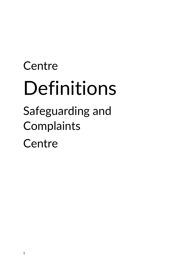# **Centre** Definitions

Safeguarding and Complaints **Centre**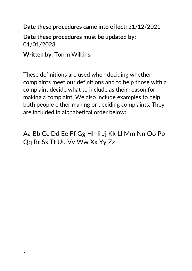**Date these procedures came into effect:** 31/12/2021

**Date these procedures must be updated by:** 01/01/2023

**Written by:** Torrin Wilkins.

These definitions are used when deciding whether complaints meet our definitions and to help those with a complaint decide what to include as their reason for making a complaint. We also include examples to help both people either making or deciding complaints. They are included in alphabetical order below:

Aa Bb Cc Dd Ee Ff Gg Hh Ii Jj Kk Ll Mm Nn Oo Pp Qq Rr Ss Tt Uu Vv Ww Xx Yy Zz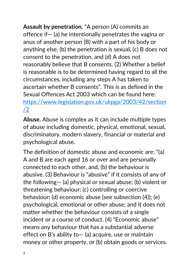**Assault by penetration.** "A person (A) commits an offence if— (a) he intentionally penetrates the vagina or anus of another person (B) with a part of his body or anything else, (b) the penetration is sexual, (c) B does not consent to the penetration, and (d) A does not reasonably believe that B consents. (2) Whether a belief is reasonable is to be determined having regard to all the circumstances, including any steps A has taken to ascertain whether B consents". This is as defined in the Sexual Offences Act 2003 which can be found here: [https://www.legislation.gov.uk/ukpga/2003/42/section](https://www.legislation.gov.uk/ukpga/2003/42/section/2) [/2](https://www.legislation.gov.uk/ukpga/2003/42/section/2)

**Abuse.** Abuse is complex as it can include multiple types of abuse including domestic, physical, emotional, sexual, discriminatory, modern slavery, financial or material and psychological abuse.

The definition of domestic abuse and economic are: "(a) A and B are each aged 16 or over and are personally connected to each other, and, (b) the behaviour is abusive. (3) Behaviour is "abusive" if it consists of any of the following— (a) physical or sexual abuse; (b) violent or threatening behaviour; (c) controlling or coercive behaviour; (d) economic abuse (see subsection (4)); (e) psychological, emotional or other abuse; and it does not matter whether the behaviour consists of a single incident or a course of conduct. (4) "Economic abuse" means any behaviour that has a substantial adverse effect on B's ability to— (a) acquire, use or maintain money or other property, or (b) obtain goods or services.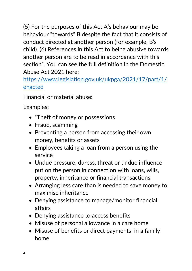(5) For the purposes of this Act A's behaviour may be behaviour "towards" B despite the fact that it consists of conduct directed at another person (for example, B's child). (6) References in this Act to being abusive towards another person are to be read in accordance with this section". You can see the full definition in the Domestic Abuse Act 2021 here:

[https://www.legislation.gov.uk/ukpga/2021/17/part/1/](https://www.legislation.gov.uk/ukpga/2021/17/part/1/enacted) [enacted](https://www.legislation.gov.uk/ukpga/2021/17/part/1/enacted)

Financial or material abuse:

- "Theft of money or possessions
- Fraud, scamming
- Preventing a person from accessing their own money, benefits or assets
- Employees taking a loan from a person using the service
- Undue pressure, duress, threat or undue influence put on the person in connection with loans, wills, property, inheritance or financial transactions
- Arranging less care than is needed to save money to maximise inheritance
- Denying assistance to manage/monitor financial affairs
- Denying assistance to access benefits
- Misuse of personal allowance in a care home
- Misuse of benefits or direct payments in a family home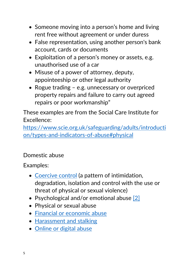- Someone moving into a person's home and living rent free without agreement or under duress
- False representation, using another person's bank account, cards or documents
- Exploitation of a person's money or assets, e.g. unauthorised use of a car
- Misuse of a power of attorney, deputy, appointeeship or other legal authority
- Rogue trading e.g. unnecessary or overpriced property repairs and failure to carry out agreed repairs or poor workmanship"

[https://www.scie.org.uk/safeguarding/adults/introducti](https://www.scie.org.uk/safeguarding/adults/introduction/types-and-indicators-of-abuse#physical) [on/types-and-indicators-of-abuse#physical](https://www.scie.org.uk/safeguarding/adults/introduction/types-and-indicators-of-abuse#physical)

# Domestic abuse

- [Coercive control](https://www.womensaid.org.uk/information-support/what-is-domestic-abuse/coercive-control/) (a pattern of intimidation, degradation, isolation and control with the use or threat of physical or sexual violence)
- Psychological and/or emotional abuse [\[2\]](https://www.womensaid.org.uk/information-support/what-is-domestic-abuse/#_edn2)
- Physical or sexual abuse
- [Financial or economic abuse](https://www.womensaid.org.uk/information-support/what-is-domestic-abuse/financial-abuse/)
- [Harassment and stalking](https://www.womensaid.org.uk/information-support/what-is-domestic-abuse/stalking/)
- [Online or digital abuse](https://www.womensaid.org.uk/information-support/what-is-domestic-abuse/onlinesafety/)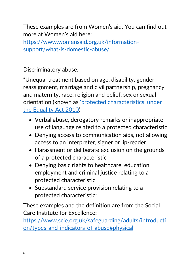These examples are from Women's aid. You can find out more at Women's aid here:

[https://www.womensaid.org.uk/information](https://www.womensaid.org.uk/information-support/what-is-domestic-abuse/)[support/what-is-domestic-abuse/](https://www.womensaid.org.uk/information-support/what-is-domestic-abuse/)

Discriminatory abuse:

"Unequal treatment based on age, disability, gender reassignment, marriage and civil partnership, pregnancy and maternity, race, religion and belief, sex or sexual orientation (known as ['protected characteristics' under](https://www.equalityhumanrights.com/en/equality-act/protected-characteristics)  [the Equality Act 2010\)](https://www.equalityhumanrights.com/en/equality-act/protected-characteristics)

- Verbal abuse, derogatory remarks or inappropriate use of language related to a protected characteristic
- Denying access to communication aids, not allowing access to an interpreter, signer or lip-reader
- Harassment or deliberate exclusion on the grounds of a protected characteristic
- Denying basic rights to healthcare, education, employment and criminal justice relating to a protected characteristic
- Substandard service provision relating to a protected characteristic"

These examples and the definition are from the Social Care Institute for Excellence:

[https://www.scie.org.uk/safeguarding/adults/introducti](https://www.scie.org.uk/safeguarding/adults/introduction/types-and-indicators-of-abuse#physical) [on/types-and-indicators-of-abuse#physical](https://www.scie.org.uk/safeguarding/adults/introduction/types-and-indicators-of-abuse#physical)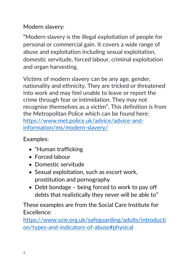## Modern slavery:

"Modern slavery is the illegal exploitation of people for personal or commercial gain. It covers a wide range of abuse and exploitation including sexual exploitation, domestic servitude, forced labour, criminal exploitation and organ harvesting.

Victims of modern slavery can be any age, gender, nationality and ethnicity. They are tricked or threatened into work and may feel unable to leave or report the crime through fear or intimidation. They may not recognise themselves as a victim". This definition is from the Metropolitan Police which can be found here: [https://www.met.police.uk/advice/advice-and](https://www.met.police.uk/advice/advice-and-information/ms/modern-slavery/)[information/ms/modern-slavery/](https://www.met.police.uk/advice/advice-and-information/ms/modern-slavery/)

Examples:

- "Human trafficking
- Forced labour
- Domestic servitude
- Sexual exploitation, such as escort work, prostitution and pornography
- Debt bondage being forced to work to pay off debts that realistically they never will be able to"

These examples are from the Social Care Institute for Excellence:

[https://www.scie.org.uk/safeguarding/adults/introducti](https://www.scie.org.uk/safeguarding/adults/introduction/types-and-indicators-of-abuse#physical) [on/types-and-indicators-of-abuse#physical](https://www.scie.org.uk/safeguarding/adults/introduction/types-and-indicators-of-abuse#physical)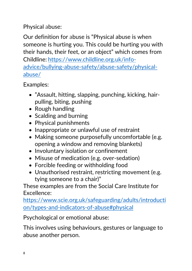## Physical abuse:

Our definition for abuse is "Physical abuse is when someone is hurting you. This could be hurting you with their hands, their feet, or an object" which comes from Childline: [https://www.childline.org.uk/info](https://www.childline.org.uk/info-advice/bullying-abuse-safety/abuse-safety/physical-abuse/)[advice/bullying-abuse-safety/abuse-safety/physical](https://www.childline.org.uk/info-advice/bullying-abuse-safety/abuse-safety/physical-abuse/)[abuse/](https://www.childline.org.uk/info-advice/bullying-abuse-safety/abuse-safety/physical-abuse/)

Examples:

- "Assault, hitting, slapping, punching, kicking, hairpulling, biting, pushing
- Rough handling
- Scalding and burning
- Physical punishments
- Inappropriate or unlawful use of restraint
- Making someone purposefully uncomfortable (e.g. opening a window and removing blankets)
- Involuntary isolation or confinement
- Misuse of medication (e.g. over-sedation)
- Forcible feeding or withholding food
- Unauthorised restraint, restricting movement (e.g. tying someone to a chair)"

These examples are from the Social Care Institute for Excellence:

[https://www.scie.org.uk/safeguarding/adults/introducti](https://www.scie.org.uk/safeguarding/adults/introduction/types-and-indicators-of-abuse#physical) [on/types-and-indicators-of-abuse#physical](https://www.scie.org.uk/safeguarding/adults/introduction/types-and-indicators-of-abuse#physical)

Psychological or emotional abuse:

This involves using behaviours, gestures or language to abuse another person.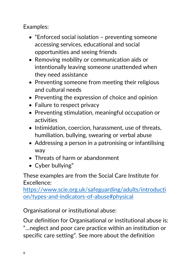Examples:

- "Enforced social isolation preventing someone accessing services, educational and social opportunities and seeing friends
- Removing mobility or communication aids or intentionally leaving someone unattended when they need assistance
- Preventing someone from meeting their religious and cultural needs
- Preventing the expression of choice and opinion
- Failure to respect privacy
- Preventing stimulation, meaningful occupation or activities
- Intimidation, coercion, harassment, use of threats, humiliation, bullying, swearing or verbal abuse
- Addressing a person in a patronising or infantilising way
- Threats of harm or abandonment
- Cyber bullying"

These examples are from the Social Care Institute for Excellence:

[https://www.scie.org.uk/safeguarding/adults/introducti](https://www.scie.org.uk/safeguarding/adults/introduction/types-and-indicators-of-abuse#physical) [on/types-and-indicators-of-abuse#physical](https://www.scie.org.uk/safeguarding/adults/introduction/types-and-indicators-of-abuse#physical)

Organisational or institutional abuse:

Our definition for Organisational or institutional abuse is: "…neglect and poor care practice within an institution or specific care setting". See more about the definition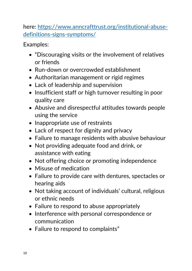here: [https://www.anncrafttrust.org/institutional-abuse](https://www.anncrafttrust.org/institutional-abuse-definitions-signs-symptoms/)[definitions-signs-symptoms/](https://www.anncrafttrust.org/institutional-abuse-definitions-signs-symptoms/)

- "Discouraging visits or the involvement of relatives or friends
- Run-down or overcrowded establishment
- Authoritarian management or rigid regimes
- Lack of leadership and supervision
- Insufficient staff or high turnover resulting in poor quality care
- Abusive and disrespectful attitudes towards people using the service
- Inappropriate use of restraints
- Lack of respect for dignity and privacy
- Failure to manage residents with abusive behaviour
- Not providing adequate food and drink, or assistance with eating
- Not offering choice or promoting independence
- Misuse of medication
- Failure to provide care with dentures, spectacles or hearing aids
- Not taking account of individuals' cultural, religious or ethnic needs
- Failure to respond to abuse appropriately
- Interference with personal correspondence or communication
- Failure to respond to complaints"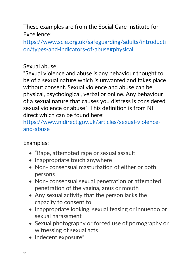[https://www.scie.org.uk/safeguarding/adults/introducti](https://www.scie.org.uk/safeguarding/adults/introduction/types-and-indicators-of-abuse#physical) [on/types-and-indicators-of-abuse#physical](https://www.scie.org.uk/safeguarding/adults/introduction/types-and-indicators-of-abuse#physical)

#### Sexual abuse:

"Sexual violence and abuse is any behaviour thought to be of a sexual nature which is unwanted and takes place without consent. Sexual violence and abuse can be physical, psychological, verbal or online. Any behaviour of a sexual nature that causes you distress is considered sexual violence or abuse". This definition is from NI direct which can be found here:

[https://www.nidirect.gov.uk/articles/sexual-violence](https://www.nidirect.gov.uk/articles/sexual-violence-and-abuse)[and-abuse](https://www.nidirect.gov.uk/articles/sexual-violence-and-abuse)

- "Rape, attempted rape or sexual assault
- Inappropriate touch anywhere
- Non- consensual masturbation of either or both persons
- Non- consensual sexual penetration or attempted penetration of the vagina, anus or mouth
- Any sexual activity that the person lacks the capacity to consent to
- Inappropriate looking, sexual teasing or innuendo or sexual harassment
- Sexual photography or forced use of pornography or witnessing of sexual acts
- Indecent exposure"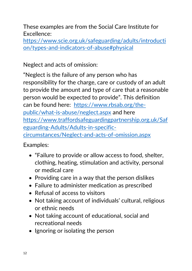[https://www.scie.org.uk/safeguarding/adults/introducti](https://www.scie.org.uk/safeguarding/adults/introduction/types-and-indicators-of-abuse#physical) [on/types-and-indicators-of-abuse#physical](https://www.scie.org.uk/safeguarding/adults/introduction/types-and-indicators-of-abuse#physical)

Neglect and acts of omission:

"Neglect is the failure of any person who has responsibility for the charge, care or custody of an adult to provide the amount and type of care that a reasonable person would be expected to provide". This definition can be found here: [https://www.rbsab.org/the](https://www.rbsab.org/the-public/what-is-abuse/neglect.aspx)[public/what-is-abuse/neglect.aspx](https://www.rbsab.org/the-public/what-is-abuse/neglect.aspx) and here [https://www.traffordsafeguardingpartnership.org.uk/Saf](https://www.traffordsafeguardingpartnership.org.uk/Safeguarding-Adults/Adults-in-specific-circumstances/Neglect-and-acts-of-omission.aspx) [eguarding-Adults/Adults-in-specific](https://www.traffordsafeguardingpartnership.org.uk/Safeguarding-Adults/Adults-in-specific-circumstances/Neglect-and-acts-of-omission.aspx)[circumstances/Neglect-and-acts-of-omission.aspx](https://www.traffordsafeguardingpartnership.org.uk/Safeguarding-Adults/Adults-in-specific-circumstances/Neglect-and-acts-of-omission.aspx)

- "Failure to provide or allow access to food, shelter, clothing, heating, stimulation and activity, personal or medical care
- Providing care in a way that the person dislikes
- Failure to administer medication as prescribed
- Refusal of access to visitors
- Not taking account of individuals' cultural, religious or ethnic needs
- Not taking account of educational, social and recreational needs
- Ignoring or isolating the person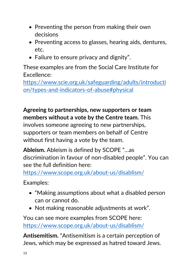- Preventing the person from making their own decisions
- Preventing access to glasses, hearing aids, dentures, etc.
- Failure to ensure privacy and dignity".

[https://www.scie.org.uk/safeguarding/adults/introducti](https://www.scie.org.uk/safeguarding/adults/introduction/types-and-indicators-of-abuse#physical) [on/types-and-indicators-of-abuse#physical](https://www.scie.org.uk/safeguarding/adults/introduction/types-and-indicators-of-abuse#physical)

**Agreeing to partnerships, new supporters or team members without a vote by the Centre team.** This

involves someone agreeing to new partnerships, supporters or team members on behalf of Centre without first having a vote by the team.

**Ableism.** Ableism is defined by SCOPE "…as discrimination in favour of non-disabled people". You can see the full definition here:

<https://www.scope.org.uk/about-us/disablism/>

Examples:

- "Making assumptions about what a disabled person can or cannot do.
- Not making reasonable adjustments at work".

You can see more examples from SCOPE here: <https://www.scope.org.uk/about-us/disablism/>

**Antisemitism.** "Antisemitism is a certain perception of Jews, which may be expressed as hatred toward Jews.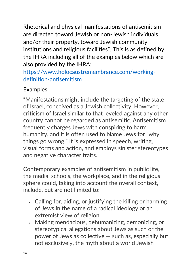Rhetorical and physical manifestations of antisemitism are directed toward Jewish or non-Jewish individuals and/or their property, toward Jewish community institutions and religious facilities". This is as defined by the IHRA including all of the examples below which are also provided by the IHRA:

[https://www.holocaustremembrance.com/working](https://www.holocaustremembrance.com/working-definition-antisemitism)[definition-antisemitism](https://www.holocaustremembrance.com/working-definition-antisemitism)

# Examples:

"Manifestations might include the targeting of the state of Israel, conceived as a Jewish collectivity. However, criticism of Israel similar to that leveled against any other country cannot be regarded as antisemitic. Antisemitism frequently charges Jews with conspiring to harm humanity, and it is often used to blame Jews for "why things go wrong." It is expressed in speech, writing, visual forms and action, and employs sinister stereotypes and negative character traits.

Contemporary examples of antisemitism in public life, the media, schools, the workplace, and in the religious sphere could, taking into account the overall context, include, but are not limited to:

- Calling for, aiding, or justifying the killing or harming of Jews in the name of a radical ideology or an extremist view of religion.
- Making mendacious, dehumanizing, demonizing, or stereotypical allegations about Jews as such or the power of Jews as collective — such as, especially but not exclusively, the myth about a world Jewish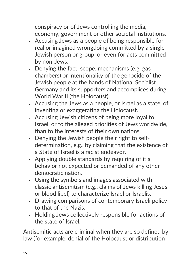conspiracy or of Jews controlling the media, economy, government or other societal institutions.

- Accusing Jews as a people of being responsible for real or imagined wrongdoing committed by a single Jewish person or group, or even for acts committed by non-Jews.
- Denying the fact, scope, mechanisms (e.g. gas chambers) or intentionality of the genocide of the Jewish people at the hands of National Socialist Germany and its supporters and accomplices during World War II (the Holocaust).
- Accusing the Jews as a people, or Israel as a state, of inventing or exaggerating the Holocaust.
- Accusing Jewish citizens of being more loyal to Israel, or to the alleged priorities of Jews worldwide, than to the interests of their own nations.
- Denying the Jewish people their right to selfdetermination, e.g., by claiming that the existence of a State of Israel is a racist endeavor.
- Applying double standards by requiring of it a behavior not expected or demanded of any other democratic nation.
- Using the symbols and images associated with classic antisemitism (e.g., claims of Jews killing Jesus or blood libel) to characterize Israel or Israelis.
- Drawing comparisons of contemporary Israeli policy to that of the Nazis.
- Holding Jews collectively responsible for actions of the state of Israel.

Antisemitic acts are criminal when they are so defined by law (for example, denial of the Holocaust or distribution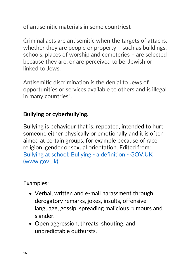of antisemitic materials in some countries).

Criminal acts are antisemitic when the targets of attacks, whether they are people or property – such as buildings, schools, places of worship and cemeteries – are selected because they are, or are perceived to be, Jewish or linked to Jews.

Antisemitic discrimination is the denial to Jews of opportunities or services available to others and is illegal in many countries".

## **Bullying or cyberbullying.**

Bullying is behaviour that is: repeated, intended to hurt someone either physically or emotionally and it is often aimed at certain groups, for example because of race, religion, gender or sexual orientation. Edited from: [Bullying at school: Bullying -](https://www.gov.uk/bullying-at-school/bullying-a-definition) a definition - GOV.UK [\(www.gov.uk\)](https://www.gov.uk/bullying-at-school/bullying-a-definition)

- Verbal, written and e-mail harassment through derogatory remarks, jokes, insults, offensive language, gossip, spreading malicious rumours and slander.
- Open aggression, threats, shouting, and unpredictable outbursts.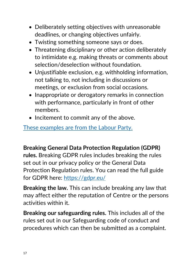- Deliberately setting objectives with unreasonable deadlines, or changing objectives unfairly.
- Twisting something someone says or does.
- Threatening disciplinary or other action deliberately to intimidate e.g. making threats or comments about selection/deselection without foundation.
- Unjustifiable exclusion, e.g. withholding information, not talking to, not including in discussions or meetings, or exclusion from social occasions.
- Inappropriate or derogatory remarks in connection with performance, particularly in front of other members.
- Incitement to commit any of the above.

[These examples are from the Labour Party.](https://labour.org.uk/members/my-welfare/my-rights-and-responsibilities/labours-bullying-harassment-policy/)

**Breaking General Data Protection Regulation (GDPR)**

**rules.** Breaking GDPR rules includes breaking the rules set out in our privacy policy or the General Data Protection Regulation rules. You can read the full guide for GDPR here:<https://gdpr.eu/>

**Breaking the law.** This can include breaking any law that may affect either the reputation of Centre or the persons activities within it.

**Breaking our safeguarding rules.** This includes all of the rules set out in our Safeguarding code of conduct and procedures which can then be submitted as a complaint.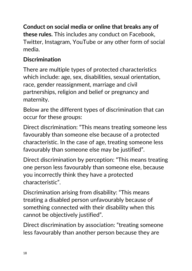**Conduct on social media or online that breaks any of these rules.** This includes any conduct on Facebook, Twitter, Instagram, YouTube or any other form of social media.

# **Discrimination**

There are multiple types of protected characteristics which include: age, sex, disabilities, sexual orientation, race, gender reassignment, marriage and civil partnerships, religion and belief or pregnancy and maternity.

Below are the different types of discrimination that can occur for these groups:

Direct discrimination: "This means treating someone less favourably than someone else because of a protected characteristic. In the case of age, treating someone less favourably than someone else may be justified".

Direct discrimination by perception: "This means treating one person less favourably than someone else, because you incorrectly think they have a protected characteristic".

Discrimination arising from disability: "This means treating a disabled person unfavourably because of something connected with their disability when this cannot be objectively justified".

Direct discrimination by association: "treating someone less favourably than another person because they are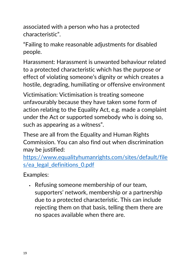associated with a person who has a protected characteristic".

"Failing to make reasonable adjustments for disabled people.

Harassment: Harassment is unwanted behaviour related to a protected characteristic which has the purpose or effect of violating someone's dignity or which creates a hostile, degrading, humiliating or offensive environment

Victimisation: Victimisation is treating someone unfavourably because they have taken some form of action relating to the Equality Act, e.g. made a complaint under the Act or supported somebody who is doing so, such as appearing as a witness".

These are all from the Equality and Human Rights Commission. You can also find out when discrimination may be justified:

[https://www.equalityhumanrights.com/sites/default/file](https://www.equalityhumanrights.com/sites/default/files/ea_legal_definitions_0.pdf) [s/ea\\_legal\\_definitions\\_0.pdf](https://www.equalityhumanrights.com/sites/default/files/ea_legal_definitions_0.pdf)

Examples:

• Refusing someone membership of our team, supporters' network, membership or a partnership due to a protected characteristic. This can include rejecting them on that basis, telling them there are no spaces available when there are.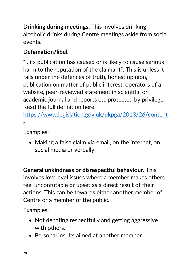**Drinking during meetings.** This involves drinking alcoholic drinks during Centre meetings aside from social events.

# **Defamation/libel.**

"…its publication has caused or is likely to cause serious harm to the reputation of the claimant". This is unless it falls under the defences of truth, honest opinion, publication on matter of public interest, operators of a website, peer-reviewed statement in scientific or academic journal and reports etc protected by privilege. Read the full definition here:

[https://www.legislation.gov.uk/ukpga/2013/26/content](https://www.legislation.gov.uk/ukpga/2013/26/contents) [s](https://www.legislation.gov.uk/ukpga/2013/26/contents)

Examples:

• Making a false claim via email, on the internet, on social media or verbally.

**General unkindness or disrespectful behaviour.** This involves low level issues where a member makes others feel unconfutable or upset as a direct result of their actions. This can be towards either another member of Centre or a member of the public.

- Not debating respectfully and getting aggressive with others.
- Personal insults aimed at another member.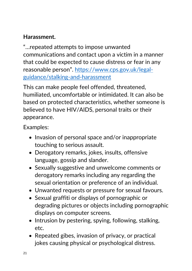# **Harassment.**

"…repeated attempts to impose unwanted communications and contact upon a victim in a manner that could be expected to cause distress or fear in any reasonable person". [https://www.cps.gov.uk/legal](https://www.cps.gov.uk/legal-guidance/stalking-and-harassment)[guidance/stalking-and-harassment](https://www.cps.gov.uk/legal-guidance/stalking-and-harassment)

This can make people feel offended, threatened, humiliated, uncomfortable or intimidated. It can also be based on protected characteristics, whether someone is believed to have HIV/AIDS, personal traits or their appearance.

- Invasion of personal space and/or inappropriate touching to serious assault.
- Derogatory remarks, jokes, insults, offensive language, gossip and slander.
- Sexually suggestive and unwelcome comments or derogatory remarks including any regarding the sexual orientation or preference of an individual.
- Unwanted requests or pressure for sexual favours.
- Sexual graffiti or displays of pornographic or degrading pictures or objects including pornographic displays on computer screens.
- Intrusion by pestering, spying, following, stalking, etc.
- Repeated gibes, invasion of privacy, or practical jokes causing physical or psychological distress.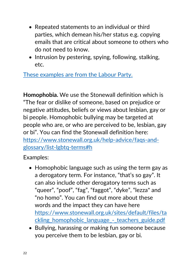- Repeated statements to an individual or third parties, which demean his/her status e.g. copying emails that are critical about someone to others who do not need to know.
- Intrusion by pestering, spying, following, stalking, etc.

[These examples are from the Labour Party.](https://labour.org.uk/members/my-welfare/my-rights-and-responsibilities/labours-bullying-harassment-policy/)

**Homophobia.** We use the Stonewall definition which is "The fear or dislike of someone, based on prejudice or negative attitudes, beliefs or views about lesbian, gay or bi people. Homophobic bullying may be targeted at people who are, or who are perceived to be, lesbian, gay or bi". You can find the Stonewall definition here: [https://www.stonewall.org.uk/help-advice/faqs-and](https://www.stonewall.org.uk/help-advice/faqs-and-glossary/list-lgbtq-terms#h)[glossary/list-lgbtq-terms#h](https://www.stonewall.org.uk/help-advice/faqs-and-glossary/list-lgbtq-terms#h)

- Homophobic language such as using the term gay as a derogatory term. For instance, "that's so gay". It can also include other derogatory terms such as "queer", "poof", "fag", "faggot", "dyke", "lezza" and "no homo". You can find out more about these words and the impact they can have here [https://www.stonewall.org.uk/sites/default/files/ta](https://www.stonewall.org.uk/sites/default/files/tackling_homophobic_language_-_teachers_guide.pdf) ckling\_homophobic\_language -\_teachers\_guide.pdf
- Bullying, harassing or making fun someone because you perceive them to be lesbian, gay or bi.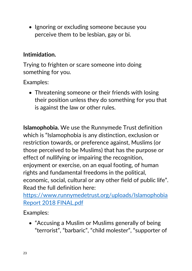• Ignoring or excluding someone because you perceive them to be lesbian, gay or bi.

# **Intimidation.**

Trying to frighten or scare someone into doing something for you.

Examples:

• Threatening someone or their friends with losing their position unless they do something for you that is against the law or other rules.

**Islamophobia.** We use the Runnymede Trust definition which is "Islamophobia is any distinction, exclusion or restriction towards, or preference against, Muslims (or those perceived to be Muslims) that has the purpose or effect of nullifying or impairing the recognition, enjoyment or exercise, on an equal footing, of human rights and fundamental freedoms in the political, economic, social, cultural or any other field of public life". Read the full definition here:

[https://www.runnymedetrust.org/uploads/Islamophobia](https://www.runnymedetrust.org/uploads/Islamophobia%20Report%202018%20FINAL.pdf)  [Report 2018 FINAL.pdf](https://www.runnymedetrust.org/uploads/Islamophobia%20Report%202018%20FINAL.pdf)

Examples:

• "Accusing a Muslim or Muslims generally of being "terrorist", "barbaric", "child molester", "supporter of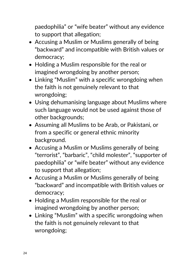paedophilia" or "wife beater" without any evidence to support that allegation;

- Accusing a Muslim or Muslims generally of being "backward" and incompatible with British values or democracy;
- Holding a Muslim responsible for the real or imagined wrongdoing by another person;
- Linking "Muslim" with a specific wrongdoing when the faith is not genuinely relevant to that wrongdoing;
- Using dehumanising language about Muslims where such language would not be used against those of other backgrounds;
- Assuming all Muslims to be Arab, or Pakistani, or from a specific or general ethnic minority background.
- Accusing a Muslim or Muslims generally of being "terrorist", "barbaric", "child molester", "supporter of paedophilia" or "wife beater" without any evidence to support that allegation;
- Accusing a Muslim or Muslims generally of being "backward" and incompatible with British values or democracy;
- Holding a Muslim responsible for the real or imagined wrongdoing by another person;
- Linking "Muslim" with a specific wrongdoing when the faith is not genuinely relevant to that wrongdoing: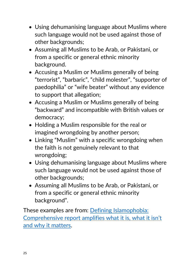- Using dehumanising language about Muslims where such language would not be used against those of other backgrounds;
- Assuming all Muslims to be Arab, or Pakistani, or from a specific or general ethnic minority background.
- Accusing a Muslim or Muslims generally of being "terrorist", "barbaric", "child molester", "supporter of paedophilia" or "wife beater" without any evidence to support that allegation;
- Accusing a Muslim or Muslims generally of being "backward" and incompatible with British values or democracy;
- Holding a Muslim responsible for the real or imagined wrongdoing by another person;
- Linking "Muslim" with a specific wrongdoing when the faith is not genuinely relevant to that wrongdoing;
- Using dehumanising language about Muslims where such language would not be used against those of other backgrounds;
- Assuming all Muslims to be Arab, or Pakistani, or from a specific or general ethnic minority background".

These examples are from: [Defining Islamophobia:](https://mcb.org.uk/resources/islamophobia/)  [Comprehensive report amplifies what it is, what it isn't](https://mcb.org.uk/resources/islamophobia/)  [and why it matters.](https://mcb.org.uk/resources/islamophobia/)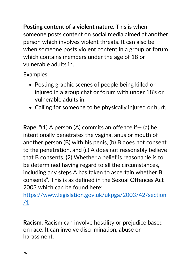**Posting content of a violent nature.** This is when someone posts content on social media aimed at another person which involves violent threats. It can also be when someone posts violent content in a group or forum which contains members under the age of 18 or vulnerable adults in.

Examples:

- Posting graphic scenes of people being killed or injured in a group chat or forum with under 18's or vulnerable adults in.
- Calling for someone to be physically injured or hurt.

**Rape.** "(1) A person (A) commits an offence if— (a) he intentionally penetrates the vagina, anus or mouth of another person (B) with his penis, (b) B does not consent to the penetration, and (c) A does not reasonably believe that B consents. (2) Whether a belief is reasonable is to be determined having regard to all the circumstances, including any steps A has taken to ascertain whether B consents". This is as defined in the Sexual Offences Act 2003 which can be found here:

[https://www.legislation.gov.uk/ukpga/2003/42/section](https://www.legislation.gov.uk/ukpga/2003/42/section/1) [/1](https://www.legislation.gov.uk/ukpga/2003/42/section/1)

**Racism.** Racism can involve hostility or prejudice based on race. It can involve discrimination, abuse or harassment.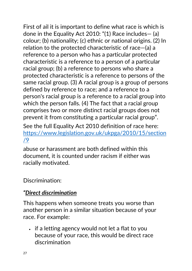First of ail it is important to define what race is which is done in the Equality Act 2010: "(1) Race includes— (a) colour; (b) nationality; (c) ethnic or national origins. (2) In relation to the protected characteristic of race—(a) a reference to a person who has a particular protected characteristic is a reference to a person of a particular racial group; (b) a reference to persons who share a protected characteristic is a reference to persons of the same racial group. (3) A racial group is a group of persons defined by reference to race; and a reference to a person's racial group is a reference to a racial group into which the person falls. (4) The fact that a racial group comprises two or more distinct racial groups does not prevent it from constituting a particular racial group".

See the full Equality Act 2010 definition of race here: [https://www.legislation.gov.uk/ukpga/2010/15/section](https://www.legislation.gov.uk/ukpga/2010/15/section/9) [/9](https://www.legislation.gov.uk/ukpga/2010/15/section/9)

abuse or harassment are both defined within this document, it is counted under racism if either was racially motivated.

Discrimination:

# *"[Direct discrimination](https://www.equalityhumanrights.com/en/advice-and-guidance/what-direct-and-indirect-discrimination)*

This happens when someone treats you worse than another person in a similar situation because of your race. For example:

• if a letting agency would not let a flat to you because of your race, this would be direct race discrimination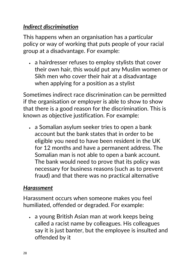## *[Indirect discrimination](https://www.equalityhumanrights.com/en/advice-and-guidance/what-direct-and-indirect-discrimination)*

This happens when an organisation has a particular policy or way of working that puts people of your racial group at a disadvantage. For example:

• a hairdresser refuses to employ stylists that cover their own hair, this would put any Muslim women or Sikh men who cover their hair at a disadvantage when applying for a position as a stylist

Sometimes indirect race discrimination can be permitted if the organisation or employer is able to show to show that there is a good reason for the discrimination. This is known as objective justification. For example:

• a Somalian asylum seeker tries to open a bank account but the bank states that in order to be eligible you need to have been resident in the UK for 12 months and have a permanent address. The Somalian man is not able to open a bank account. The bank would need to prove that its policy was necessary for business reasons (such as to prevent fraud) and that there was no practical alternative

## *[Harassment](https://www.equalityhumanrights.com/en/advice-and-guidance/what-harassment-and-victimisation)*

Harassment occurs when someone makes you feel humiliated, offended or degraded. For example:

• a young British Asian man at work keeps being called a racist name by colleagues. His colleagues say it is just banter, but the employee is insulted and offended by it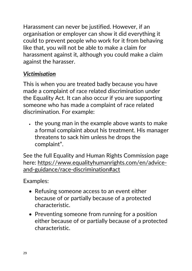Harassment can never be justified. However, if an organisation or employer can show it did everything it could to prevent people who work for it from behaving like that, you will not be able to make a claim for harassment against it, although you could make a claim against the harasser.

# *[Victimisation](https://www.equalityhumanrights.com/en/advice-and-guidance/what-harassment-and-victimisation)*

This is when you are treated badly because you have made a complaint of race related discrimination under the Equality Act. It can also occur if you are supporting someone who has made a complaint of race related discrimination. For example:

• the young man in the example above wants to make a formal complaint about his treatment. His manager threatens to sack him unless he drops the complaint".

See the full Equality and Human Rights Commission page here: [https://www.equalityhumanrights.com/en/advice](https://www.equalityhumanrights.com/en/advice-and-guidance/race-discrimination#act)[and-guidance/race-discrimination#act](https://www.equalityhumanrights.com/en/advice-and-guidance/race-discrimination#act)

- Refusing someone access to an event either because of or partially because of a protected characteristic.
- Preventing someone from running for a position either because of or partially because of a protected characteristic.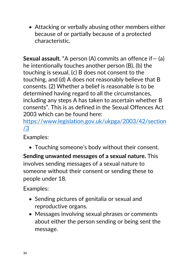• Attacking or verbally abusing other members either because of or partially because of a protected characteristic.

**Sexual assault.** "A person (A) commits an offence if – (a) he intentionally touches another person (B), (b) the touching is sexual, (c) B does not consent to the touching, and (d) A does not reasonably believe that B consents. (2) Whether a belief is reasonable is to be determined having regard to all the circumstances, including any steps A has taken to ascertain whether B consents". This is as defined in the Sexual Offences Act 2003 which can be found here:

[https://www.legislation.gov.uk/ukpga/2003/42/section](https://www.legislation.gov.uk/ukpga/2003/42/section/3) [/3](https://www.legislation.gov.uk/ukpga/2003/42/section/3)

Examples:

• Touching someone's body without their consent.

**Sending unwanted messages of a sexual nature.** This involves sending messages of a sexual nature to someone without their consent or sending these to people under 18.

- Sending pictures of genitalia or sexual and reproductive organs.
- Messages involving sexual phrases or comments about either the person sending or being sent the message.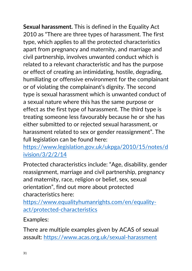**Sexual harassment.** This is defined in the Equality Act 2010 as "There are three types of harassment. The first type, which applies to all the protected characteristics apart from pregnancy and maternity, and marriage and civil partnership, involves unwanted conduct which is related to a relevant characteristic and has the purpose or effect of creating an intimidating, hostile, degrading, humiliating or offensive environment for the complainant or of violating the complainant's dignity. The second type is sexual harassment which is unwanted conduct of a sexual nature where this has the same purpose or effect as the first type of harassment. The third type is treating someone less favourably because he or she has either submitted to or rejected sexual harassment, or harassment related to sex or gender reassignment". The full legislation can be found here:

[https://www.legislation.gov.uk/ukpga/2010/15/notes/d](https://www.legislation.gov.uk/ukpga/2010/15/notes/division/3/2/2/14) [ivision/3/2/2/14](https://www.legislation.gov.uk/ukpga/2010/15/notes/division/3/2/2/14)

Protected characteristics include: "Age, disability, gender reassignment, marriage and civil partnership, pregnancy and maternity, race, religion or belief, sex, sexual orientation", find out more about protected characteristics here:

[https://www.equalityhumanrights.com/en/equality](https://www.equalityhumanrights.com/en/equality-act/protected-characteristics)[act/protected-characteristics](https://www.equalityhumanrights.com/en/equality-act/protected-characteristics)

Examples:

There are multiple examples given by ACAS of sexual assault:<https://www.acas.org.uk/sexual-harassment>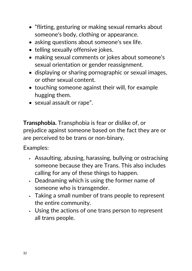- "flirting, gesturing or making sexual remarks about someone's body, clothing or appearance.
- asking questions about someone's sex life.
- telling sexually offensive jokes.
- making sexual comments or jokes about someone's sexual orientation or gender reassignment.
- displaying or sharing pornographic or sexual images, or other sexual content.
- touching someone against their will, for example hugging them.
- sexual assault or rape".

**Transphobia.** Transphobia is fear or dislike of, or prejudice against someone based on the fact they are or are perceived to be trans or non-binary.

- Assaulting, abusing, harassing, bullying or ostracising someone because they are Trans. This also includes calling for any of these things to happen.
- Deadnaming which is using the former name of someone who is transgender.
- Taking a small number of trans people to represent the entire community.
- Using the actions of one trans person to represent all trans people.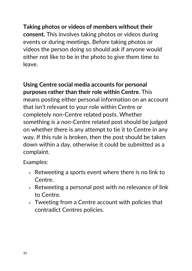**Taking photos or videos of members without their consent.** This involves taking photos or videos during events or during meetings. Before taking photos or videos the person doing so should ask if anyone would either not like to be in the photo to give them time to leave.

**Using Centre social media accounts for personal purposes rather than their role within Centre.** This means posting either personal information on an account that isn't relevant to your role within Centre or completely non-Centre related posts. Whether something is a non-Centre related post should be judged on whether there is any attempt to tie it to Centre in any way. If this rule is broken, then the post should be taken down within a day, otherwise it could be submitted as a complaint.

- Retweeting a sports event where there is no link to Centre.
- Retweeting a personal post with no relevance of link to Centre.
- Tweeting from a Centre account with policies that contradict Centres policies.